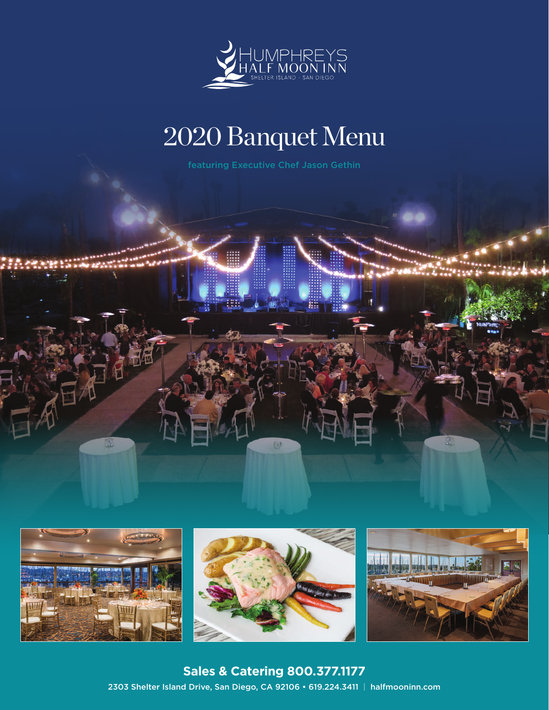

# 2020 Banquet Menu







**Sales & Catering 800.377.1177** 2303 Shelter Island Drive, San Diego, CA 92106 • 619.224.3411 | halfmooninn.com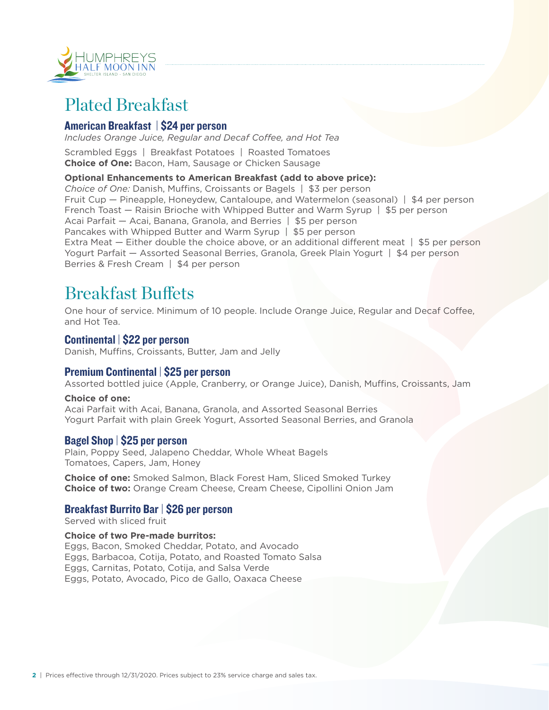

## Plated Breakfast

## American Breakfast | \$24 per person

*Includes Orange Juice, Regular and Decaf Coffee, and Hot Tea*

Scrambled Eggs | Breakfast Potatoes | Roasted Tomatoes **Choice of One:** Bacon, Ham, Sausage or Chicken Sausage

#### **Optional Enhancements to American Breakfast (add to above price):**

*Choice of One:* Danish, Muffins, Croissants or Bagels | \$3 per person Fruit Cup — Pineapple, Honeydew, Cantaloupe, and Watermelon (seasonal) | \$4 per person French Toast — Raisin Brioche with Whipped Butter and Warm Syrup | \$5 per person Acai Parfait — Acai, Banana, Granola, and Berries | \$5 per person Pancakes with Whipped Butter and Warm Syrup | \$5 per person Extra Meat — Either double the choice above, or an additional different meat | \$5 per person Yogurt Parfait — Assorted Seasonal Berries, Granola, Greek Plain Yogurt | \$4 per person Berries & Fresh Cream | \$4 per person

## Breakfast Buffets

One hour of service. Minimum of 10 people. Include Orange Juice, Regular and Decaf Coffee, and Hot Tea.

### Continental | \$22 per person

Danish, Muffins, Croissants, Butter, Jam and Jelly

### Premium Continental | \$25 per person

Assorted bottled juice (Apple, Cranberry, or Orange Juice), Danish, Muffins, Croissants, Jam

#### **Choice of one:**

Acai Parfait with Acai, Banana, Granola, and Assorted Seasonal Berries Yogurt Parfait with plain Greek Yogurt, Assorted Seasonal Berries, and Granola

#### Bagel Shop | \$25 per person

Plain, Poppy Seed, Jalapeno Cheddar, Whole Wheat Bagels Tomatoes, Capers, Jam, Honey

**Choice of one:** Smoked Salmon, Black Forest Ham, Sliced Smoked Turkey **Choice of two:** Orange Cream Cheese, Cream Cheese, Cipollini Onion Jam

### Breakfast Burrito Bar | \$26 per person

Served with sliced fruit

#### **Choice of two Pre-made burritos:**

Eggs, Bacon, Smoked Cheddar, Potato, and Avocado Eggs, Barbacoa, Cotija, Potato, and Roasted Tomato Salsa Eggs, Carnitas, Potato, Cotija, and Salsa Verde Eggs, Potato, Avocado, Pico de Gallo, Oaxaca Cheese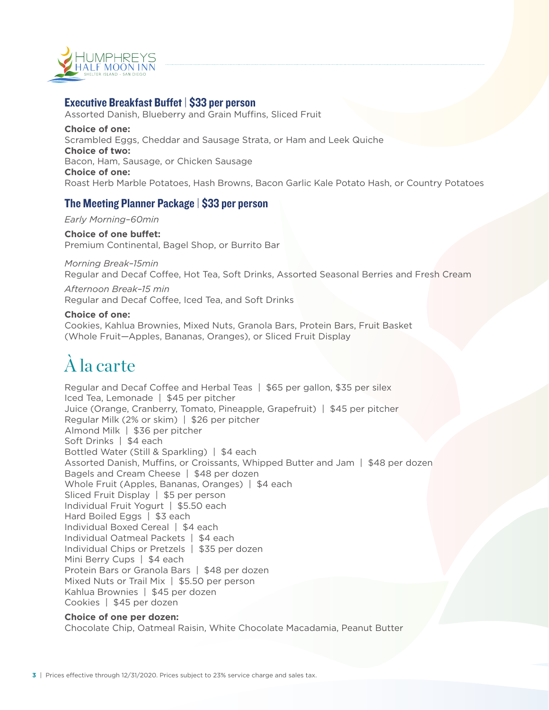

## Executive Breakfast Buffet | \$33 per person

Assorted Danish, Blueberry and Grain Muffins, Sliced Fruit **Choice of one:** Scrambled Eggs, Cheddar and Sausage Strata, or Ham and Leek Quiche **Choice of two:** Bacon, Ham, Sausage, or Chicken Sausage **Choice of one:** Roast Herb Marble Potatoes, Hash Browns, Bacon Garlic Kale Potato Hash, or Country Potatoes

## The Meeting Planner Package | \$33 per person

*Early Morning–60min* 

#### **Choice of one buffet:**

Premium Continental, Bagel Shop, or Burrito Bar

#### *Morning Break–15min*  Regular and Decaf Coffee, Hot Tea, Soft Drinks, Assorted Seasonal Berries and Fresh Cream

*Afternoon Break–15 min* Regular and Decaf Coffee, Iced Tea, and Soft Drinks

#### **Choice of one:**

Cookies, Kahlua Brownies, Mixed Nuts, Granola Bars, Protein Bars, Fruit Basket (Whole Fruit—Apples, Bananas, Oranges), or Sliced Fruit Display

# À la carte

Regular and Decaf Coffee and Herbal Teas | \$65 per gallon, \$35 per silex Iced Tea, Lemonade | \$45 per pitcher Juice (Orange, Cranberry, Tomato, Pineapple, Grapefruit) | \$45 per pitcher Regular Milk (2% or skim) | \$26 per pitcher Almond Milk | \$36 per pitcher Soft Drinks | \$4 each Bottled Water (Still & Sparkling) | \$4 each Assorted Danish, Muffins, or Croissants, Whipped Butter and Jam | \$48 per dozen Bagels and Cream Cheese | \$48 per dozen Whole Fruit (Apples, Bananas, Oranges) | \$4 each Sliced Fruit Display | \$5 per person Individual Fruit Yogurt | \$5.50 each Hard Boiled Eggs | \$3 each Individual Boxed Cereal | \$4 each Individual Oatmeal Packets | \$4 each Individual Chips or Pretzels | \$35 per dozen Mini Berry Cups | \$4 each Protein Bars or Granola Bars | \$48 per dozen Mixed Nuts or Trail Mix | \$5.50 per person Kahlua Brownies | \$45 per dozen Cookies | \$45 per dozen

#### **Choice of one per dozen:**

Chocolate Chip, Oatmeal Raisin, White Chocolate Macadamia, Peanut Butter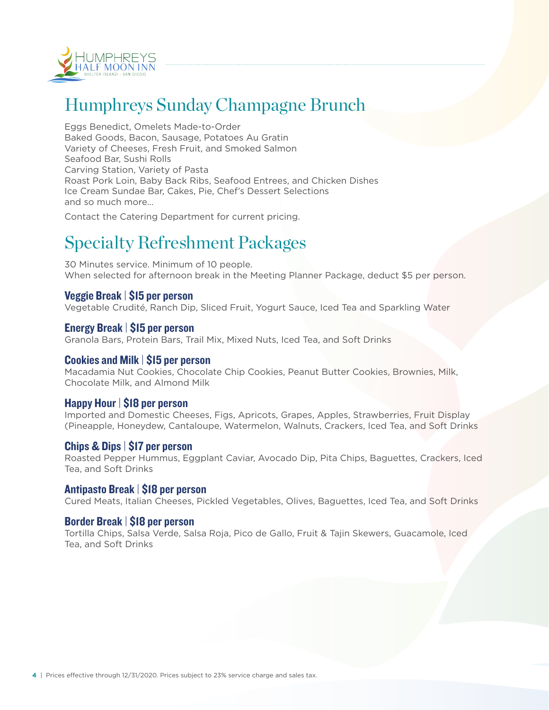

## Humphreys Sunday Champagne Brunch

Eggs Benedict, Omelets Made-to-Order Baked Goods, Bacon, Sausage, Potatoes Au Gratin Variety of Cheeses, Fresh Fruit, and Smoked Salmon Seafood Bar, Sushi Rolls Carving Station, Variety of Pasta Roast Pork Loin, Baby Back Ribs, Seafood Entrees, and Chicken Dishes Ice Cream Sundae Bar, Cakes, Pie, Chef's Dessert Selections and so much more…

Contact the Catering Department for current pricing.

## Specialty Refreshment Packages

30 Minutes service. Minimum of 10 people. When selected for afternoon break in the Meeting Planner Package, deduct \$5 per person.

### Veggie Break | \$15 per person

Vegetable Crudité, Ranch Dip, Sliced Fruit, Yogurt Sauce, Iced Tea and Sparkling Water

#### Energy Break | \$15 per person

Granola Bars, Protein Bars, Trail Mix, Mixed Nuts, Iced Tea, and Soft Drinks

#### Cookies and Milk | \$15 per person

Macadamia Nut Cookies, Chocolate Chip Cookies, Peanut Butter Cookies, Brownies, Milk, Chocolate Milk, and Almond Milk

### Happy Hour | \$18 per person

Imported and Domestic Cheeses, Figs, Apricots, Grapes, Apples, Strawberries, Fruit Display (Pineapple, Honeydew, Cantaloupe, Watermelon, Walnuts, Crackers, Iced Tea, and Soft Drinks

#### Chips & Dips | \$17 per person

Roasted Pepper Hummus, Eggplant Caviar, Avocado Dip, Pita Chips, Baguettes, Crackers, Iced Tea, and Soft Drinks

#### Antipasto Break | \$18 per person

Cured Meats, Italian Cheeses, Pickled Vegetables, Olives, Baguettes, Iced Tea, and Soft Drinks

#### Border Break | \$18 per person

Tortilla Chips, Salsa Verde, Salsa Roja, Pico de Gallo, Fruit & Tajin Skewers, Guacamole, Iced Tea, and Soft Drinks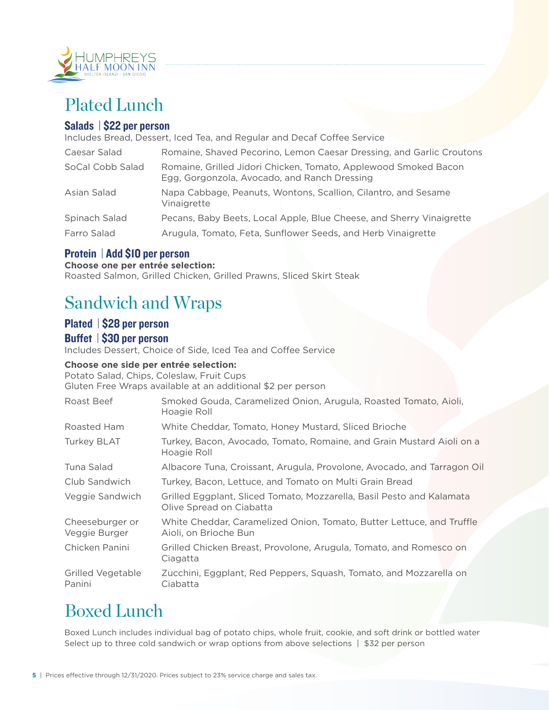

## Plated Lunch

## Salads | \$22 per person

Includes Bread, Dessert, Iced Tea, and Regular and Decaf Coffee Service

| Caesar Salad     | Romaine, Shaved Pecorino, Lemon Caesar Dressing, and Garlic Croutons                                            |  |
|------------------|-----------------------------------------------------------------------------------------------------------------|--|
| SoCal Cobb Salad | Romaine, Grilled Jidori Chicken, Tomato, Applewood Smoked Bacon<br>Egg, Gorgonzola, Avocado, and Ranch Dressing |  |
| Asian Salad      | Napa Cabbage, Peanuts, Wontons, Scallion, Cilantro, and Sesame<br>Vinaigrette                                   |  |
| Spinach Salad    | Pecans, Baby Beets, Local Apple, Blue Cheese, and Sherry Vinaigrette                                            |  |
| Farro Salad      | Arugula, Tomato, Feta, Sunflower Seeds, and Herb Vinaigrette                                                    |  |

## Protein | Add \$10 per person

#### **Choose one per entrée selection:**

Roasted Salmon, Grilled Chicken, Grilled Prawns, Sliced Skirt Steak

## Sandwich and Wraps

## Plated | \$28 per person

#### Buffet | \$30 per person

Includes Dessert, Choice of Side, Iced Tea and Coffee Service

#### **Choose one side per entrée selection:**

Potato Salad, Chips, Coleslaw, Fruit Cups Gluten Free Wraps available at an additional \$2 per person

| Smoked Gouda, Caramelized Onion, Arugula, Roasted Tomato, Aioli,<br>Hoagie Roll                   |  |
|---------------------------------------------------------------------------------------------------|--|
| White Cheddar, Tomato, Honey Mustard, Sliced Brioche                                              |  |
| Turkey, Bacon, Avocado, Tomato, Romaine, and Grain Mustard Aioli on a<br>Hoagie Roll              |  |
| Albacore Tuna, Croissant, Arugula, Provolone, Avocado, and Tarragon Oil                           |  |
| Turkey, Bacon, Lettuce, and Tomato on Multi Grain Bread                                           |  |
| Grilled Eggplant, Sliced Tomato, Mozzarella, Basil Pesto and Kalamata<br>Olive Spread on Ciabatta |  |
| White Cheddar, Caramelized Onion, Tomato, Butter Lettuce, and Truffle<br>Aioli, on Brioche Bun    |  |
| Grilled Chicken Breast, Provolone, Arugula, Tomato, and Romesco on<br>Ciagatta                    |  |
| Zucchini, Eggplant, Red Peppers, Squash, Tomato, and Mozzarella on<br>Ciabatta                    |  |
|                                                                                                   |  |

## Boxed Lunch

Boxed Lunch includes individual bag of potato chips, whole fruit, cookie, and soft drink or bottled water Select up to three cold sandwich or wrap options from above selections | \$32 per person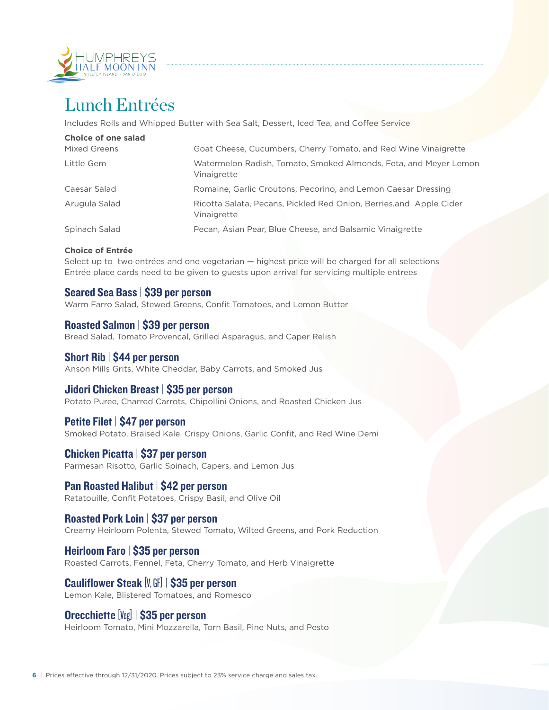

## Lunch Entrées

Includes Rolls and Whipped Butter with Sea Salt, Dessert, Iced Tea, and Coffee Service

| Choice of one salad |                                                                                    |
|---------------------|------------------------------------------------------------------------------------|
| Mixed Greens        | Goat Cheese, Cucumbers, Cherry Tomato, and Red Wine Vinaigrette                    |
| Little Gem          | Watermelon Radish, Tomato, Smoked Almonds, Feta, and Meyer Lemon<br>Vinaigrette    |
| Caesar Salad        | Romaine, Garlic Croutons, Pecorino, and Lemon Caesar Dressing                      |
| Arugula Salad       | Ricotta Salata, Pecans, Pickled Red Onion, Berries, and Apple Cider<br>Vinaigrette |
| Spinach Salad       | Pecan, Asian Pear, Blue Cheese, and Balsamic Vinaigrette                           |

#### **Choice of Entrée**

Select up to two entrées and one vegetarian — highest price will be charged for all selections Entrée place cards need to be given to guests upon arrival for servicing multiple entrees

#### Seared Sea Bass | \$39 per person

Warm Farro Salad, Stewed Greens, Confit Tomatoes, and Lemon Butter

Roasted Salmon | \$39 per person Bread Salad, Tomato Provencal, Grilled Asparagus, and Caper Relish

#### Short Rib | \$44 per person

Anson Mills Grits, White Cheddar, Baby Carrots, and Smoked Jus

#### Jidori Chicken Breast | \$35 per person

Potato Puree, Charred Carrots, Chipollini Onions, and Roasted Chicken Jus

#### Petite Filet | \$47 per person

Smoked Potato, Braised Kale, Crispy Onions, Garlic Confit, and Red Wine Demi

#### Chicken Picatta | \$37 per person

Parmesan Risotto, Garlic Spinach, Capers, and Lemon Jus

#### Pan Roasted Halibut | \$42 per person

Ratatouille, Confit Potatoes, Crispy Basil, and Olive Oil

#### Roasted Pork Loin | \$37 per person

Creamy Heirloom Polenta, Stewed Tomato, Wilted Greens, and Pork Reduction

#### Heirloom Faro | \$35 per person

Roasted Carrots, Fennel, Feta, Cherry Tomato, and Herb Vinaigrette

## Cauliflower Steak [V, GF] | \$35 per person

Lemon Kale, Blistered Tomatoes, and Romesco

### Orecchiette [Veg] | \$35 per person

Heirloom Tomato, Mini Mozzarella, Torn Basil, Pine Nuts, and Pesto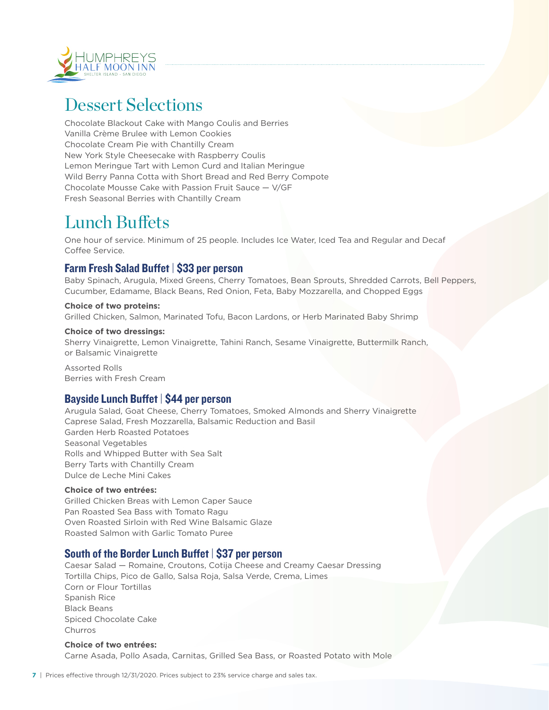

## Dessert Selections

Chocolate Blackout Cake with Mango Coulis and Berries Vanilla Crème Brulee with Lemon Cookies Chocolate Cream Pie with Chantilly Cream New York Style Cheesecake with Raspberry Coulis Lemon Meringue Tart with Lemon Curd and Italian Meringue Wild Berry Panna Cotta with Short Bread and Red Berry Compote Chocolate Mousse Cake with Passion Fruit Sauce — V/GF Fresh Seasonal Berries with Chantilly Cream

## Lunch Buffets

One hour of service. Minimum of 25 people. Includes Ice Water, Iced Tea and Regular and Decaf Coffee Service.

## Farm Fresh Salad Buffet | \$33 per person

Baby Spinach, Arugula, Mixed Greens, Cherry Tomatoes, Bean Sprouts, Shredded Carrots, Bell Peppers, Cucumber, Edamame, Black Beans, Red Onion, Feta, Baby Mozzarella, and Chopped Eggs

#### **Choice of two proteins:**

Grilled Chicken, Salmon, Marinated Tofu, Bacon Lardons, or Herb Marinated Baby Shrimp

#### **Choice of two dressings:**

Sherry Vinaigrette, Lemon Vinaigrette, Tahini Ranch, Sesame Vinaigrette, Buttermilk Ranch, or Balsamic Vinaigrette

Assorted Rolls Berries with Fresh Cream

### Bayside Lunch Buffet | \$44 per person

Arugula Salad, Goat Cheese, Cherry Tomatoes, Smoked Almonds and Sherry Vinaigrette Caprese Salad, Fresh Mozzarella, Balsamic Reduction and Basil Garden Herb Roasted Potatoes Seasonal Vegetables Rolls and Whipped Butter with Sea Salt Berry Tarts with Chantilly Cream Dulce de Leche Mini Cakes

#### **Choice of two entrées:**

Grilled Chicken Breas with Lemon Caper Sauce Pan Roasted Sea Bass with Tomato Ragu Oven Roasted Sirloin with Red Wine Balsamic Glaze Roasted Salmon with Garlic Tomato Puree

## South of the Border Lunch Buffet | \$37 per person

Caesar Salad — Romaine, Croutons, Cotija Cheese and Creamy Caesar Dressing Tortilla Chips, Pico de Gallo, Salsa Roja, Salsa Verde, Crema, Limes Corn or Flour Tortillas Spanish Rice Black Beans Spiced Chocolate Cake Churros

#### **Choice of two entrées:** Carne Asada, Pollo Asada, Carnitas, Grilled Sea Bass, or Roasted Potato with Mole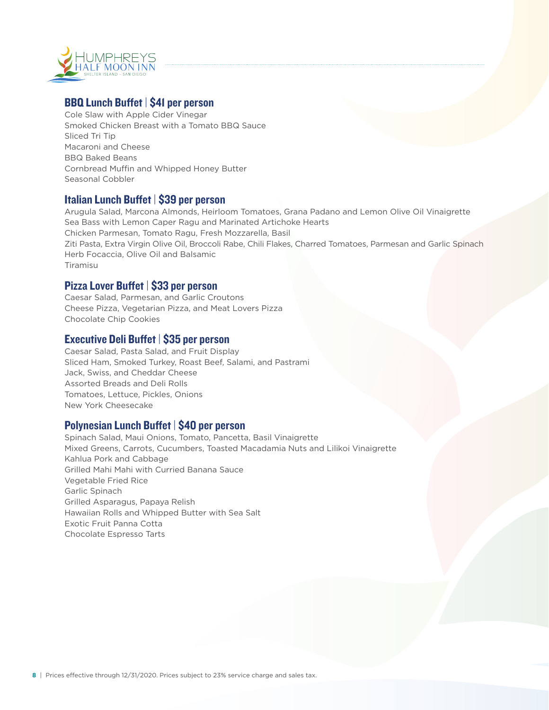

## BBQ Lunch Buffet | \$41 per person

Cole Slaw with Apple Cider Vinegar Smoked Chicken Breast with a Tomato BBQ Sauce Sliced Tri Tip Macaroni and Cheese BBQ Baked Beans Cornbread Muffin and Whipped Honey Butter Seasonal Cobbler

## Italian Lunch Buffet | \$39 per person

Arugula Salad, Marcona Almonds, Heirloom Tomatoes, Grana Padano and Lemon Olive Oil Vinaigrette Sea Bass with Lemon Caper Ragu and Marinated Artichoke Hearts Chicken Parmesan, Tomato Ragu, Fresh Mozzarella, Basil Ziti Pasta, Extra Virgin Olive Oil, Broccoli Rabe, Chili Flakes, Charred Tomatoes, Parmesan and Garlic Spinach Herb Focaccia, Olive Oil and Balsamic Tiramisu

### Pizza Lover Buffet | \$33 per person

Caesar Salad, Parmesan, and Garlic Croutons Cheese Pizza, Vegetarian Pizza, and Meat Lovers Pizza Chocolate Chip Cookies

### Executive Deli Buffet | \$35 per person

Caesar Salad, Pasta Salad, and Fruit Display Sliced Ham, Smoked Turkey, Roast Beef, Salami, and Pastrami Jack, Swiss, and Cheddar Cheese Assorted Breads and Deli Rolls Tomatoes, Lettuce, Pickles, Onions New York Cheesecake

## Polynesian Lunch Buffet | \$40 per person

Spinach Salad, Maui Onions, Tomato, Pancetta, Basil Vinaigrette Mixed Greens, Carrots, Cucumbers, Toasted Macadamia Nuts and Lilikoi Vinaigrette Kahlua Pork and Cabbage Grilled Mahi Mahi with Curried Banana Sauce Vegetable Fried Rice Garlic Spinach Grilled Asparagus, Papaya Relish Hawaiian Rolls and Whipped Butter with Sea Salt Exotic Fruit Panna Cotta Chocolate Espresso Tarts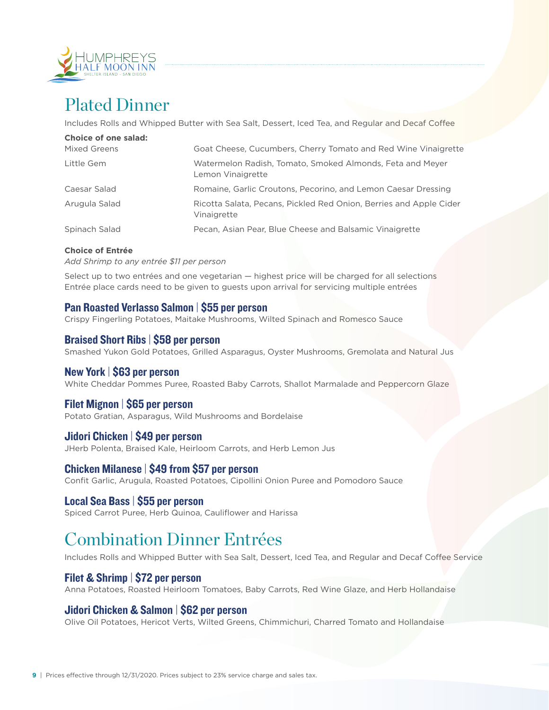

## Plated Dinner

Includes Rolls and Whipped Butter with Sea Salt, Dessert, Iced Tea, and Regular and Decaf Coffee

| <b>Choice of one salad:</b> |                                                                                   |
|-----------------------------|-----------------------------------------------------------------------------------|
| Mixed Greens                | Goat Cheese, Cucumbers, Cherry Tomato and Red Wine Vinaigrette                    |
| Little Gem                  | Watermelon Radish, Tomato, Smoked Almonds, Feta and Meyer<br>Lemon Vinaigrette    |
| Caesar Salad                | Romaine, Garlic Croutons, Pecorino, and Lemon Caesar Dressing                     |
| Arugula Salad               | Ricotta Salata, Pecans, Pickled Red Onion, Berries and Apple Cider<br>Vinaigrette |
| Spinach Salad               | Pecan, Asian Pear, Blue Cheese and Balsamic Vinaigrette                           |

#### **Choice of Entrée**

*Add Shrimp to any entrée \$11 per person*

Select up to two entrées and one vegetarian — highest price will be charged for all selections Entrée place cards need to be given to guests upon arrival for servicing multiple entrées

### Pan Roasted Verlasso Salmon | \$55 per person

Crispy Fingerling Potatoes, Maitake Mushrooms, Wilted Spinach and Romesco Sauce

#### Braised Short Ribs | \$58 per person

Smashed Yukon Gold Potatoes, Grilled Asparagus, Oyster Mushrooms, Gremolata and Natural Jus

### New York | \$63 per person

White Cheddar Pommes Puree, Roasted Baby Carrots, Shallot Marmalade and Peppercorn Glaze

### Filet Mignon | \$65 per person

Potato Gratian, Asparagus, Wild Mushrooms and Bordelaise

### Jidori Chicken | \$49 per person

JHerb Polenta, Braised Kale, Heirloom Carrots, and Herb Lemon Jus

### Chicken Milanese | \$49 from \$57 per person

Confit Garlic, Arugula, Roasted Potatoes, Cipollini Onion Puree and Pomodoro Sauce

#### Local Sea Bass | \$55 per person

Spiced Carrot Puree, Herb Quinoa, Cauliflower and Harissa

## Combination Dinner Entrées

Includes Rolls and Whipped Butter with Sea Salt, Dessert, Iced Tea, and Regular and Decaf Coffee Service

### Filet & Shrimp | \$72 per person

Anna Potatoes, Roasted Heirloom Tomatoes, Baby Carrots, Red Wine Glaze, and Herb Hollandaise

## Jidori Chicken & Salmon | \$62 per person

Olive Oil Potatoes, Hericot Verts, Wilted Greens, Chimmichuri, Charred Tomato and Hollandaise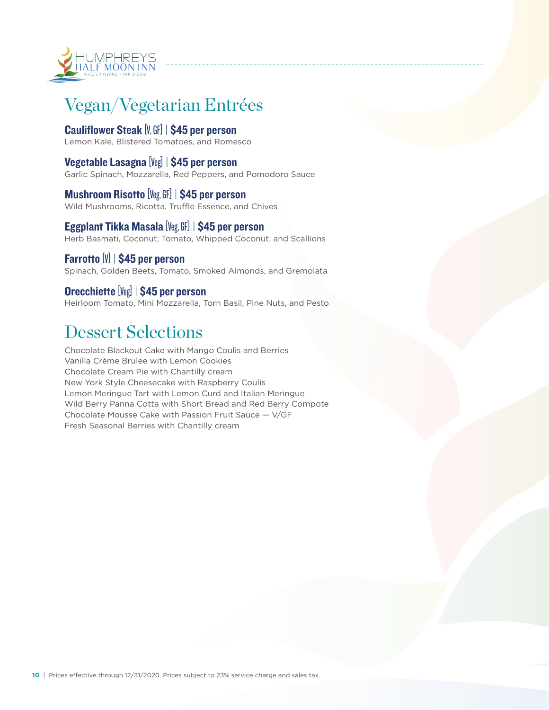

## Vegan/Vegetarian Entrées

## Cauliflower Steak [V, GF] | \$45 per person

Lemon Kale, Blistered Tomatoes, and Romesco

### Vegetable Lasagna [Veg] | \$45 per person

Garlic Spinach, Mozzarella, Red Peppers, and Pomodoro Sauce

## Mushroom Risotto [Veg, GF] | \$45 per person

Wild Mushrooms, Ricotta, Truffle Essence, and Chives

## Eggplant Tikka Masala [Veg, GF] | \$45 per person

Herb Basmati, Coconut, Tomato, Whipped Coconut, and Scallions

### Farrotto [V] | \$45 per person

Spinach, Golden Beets, Tomato, Smoked Almonds, and Gremolata

## Orecchiette [Veg] | \$45 per person

Heirloom Tomato, Mini Mozzarella, Torn Basil, Pine Nuts, and Pesto

## Dessert Selections

Chocolate Blackout Cake with Mango Coulis and Berries Vanilla Crème Brulee with Lemon Cookies Chocolate Cream Pie with Chantilly cream New York Style Cheesecake with Raspberry Coulis Lemon Meringue Tart with Lemon Curd and Italian Meringue Wild Berry Panna Cotta with Short Bread and Red Berry Compote Chocolate Mousse Cake with Passion Fruit Sauce — V/GF Fresh Seasonal Berries with Chantilly cream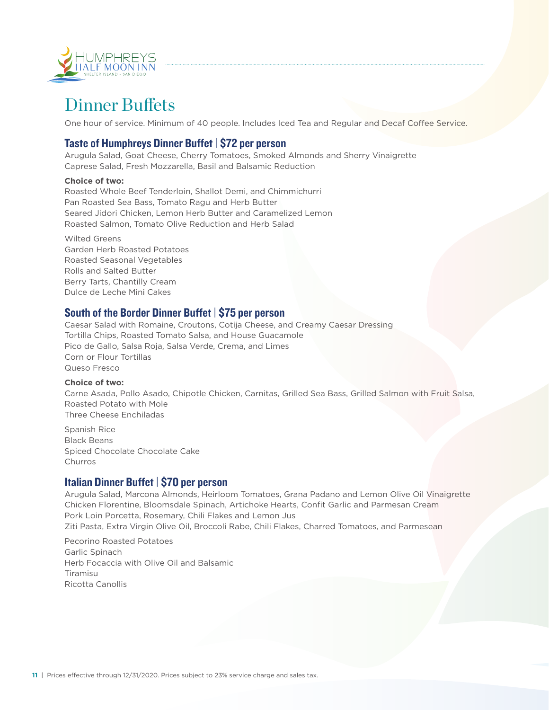

## Dinner Buffets

One hour of service. Minimum of 40 people. Includes Iced Tea and Regular and Decaf Coffee Service.

## Taste of Humphreys Dinner Buffet | \$72 per person

Arugula Salad, Goat Cheese, Cherry Tomatoes, Smoked Almonds and Sherry Vinaigrette Caprese Salad, Fresh Mozzarella, Basil and Balsamic Reduction

#### **Choice of two:**

Roasted Whole Beef Tenderloin, Shallot Demi, and Chimmichurri Pan Roasted Sea Bass, Tomato Ragu and Herb Butter Seared Jidori Chicken, Lemon Herb Butter and Caramelized Lemon Roasted Salmon, Tomato Olive Reduction and Herb Salad

Wilted Greens Garden Herb Roasted Potatoes Roasted Seasonal Vegetables Rolls and Salted Butter Berry Tarts, Chantilly Cream Dulce de Leche Mini Cakes

## South of the Border Dinner Buffet | \$75 per person

Caesar Salad with Romaine, Croutons, Cotija Cheese, and Creamy Caesar Dressing Tortilla Chips, Roasted Tomato Salsa, and House Guacamole Pico de Gallo, Salsa Roja, Salsa Verde, Crema, and Limes Corn or Flour Tortillas Queso Fresco

#### **Choice of two:**

Carne Asada, Pollo Asado, Chipotle Chicken, Carnitas, Grilled Sea Bass, Grilled Salmon with Fruit Salsa, Roasted Potato with Mole Three Cheese Enchiladas

Spanish Rice Black Beans Spiced Chocolate Chocolate Cake Churros

## Italian Dinner Buffet | \$70 per person

Arugula Salad, Marcona Almonds, Heirloom Tomatoes, Grana Padano and Lemon Olive Oil Vinaigrette Chicken Florentine, Bloomsdale Spinach, Artichoke Hearts, Confit Garlic and Parmesan Cream Pork Loin Porcetta, Rosemary, Chili Flakes and Lemon Jus

Ziti Pasta, Extra Virgin Olive Oil, Broccoli Rabe, Chili Flakes, Charred Tomatoes, and Parmesean

Pecorino Roasted Potatoes Garlic Spinach Herb Focaccia with Olive Oil and Balsamic Tiramisu Ricotta Canollis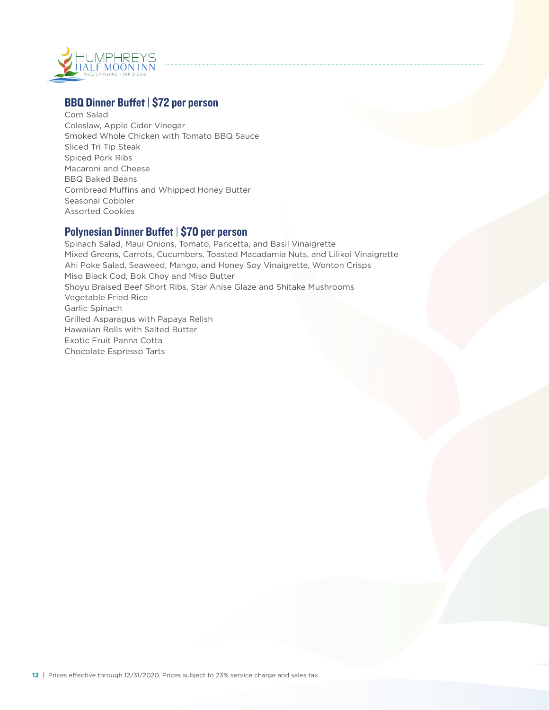

## BBQ Dinner Buffet | \$72 per person

Corn Salad Coleslaw, Apple Cider Vinegar Smoked Whole Chicken with Tomato BBQ Sauce Sliced Tri Tip Steak Spiced Pork Ribs Macaroni and Cheese BBQ Baked Beans Cornbread Muffins and Whipped Honey Butter Seasonal Cobbler Assorted Cookies

## Polynesian Dinner Buffet | \$70 per person

Spinach Salad, Maui Onions, Tomato, Pancetta, and Basil Vinaigrette Mixed Greens, Carrots, Cucumbers, Toasted Macadamia Nuts, and Lilikoi Vinaigrette Ahi Poke Salad, Seaweed, Mango, and Honey Soy Vinaigrette, Wonton Crisps Miso Black Cod, Bok Choy and Miso Butter Shoyu Braised Beef Short Ribs, Star Anise Glaze and Shitake Mushrooms Vegetable Fried Rice Garlic Spinach Grilled Asparagus with Papaya Relish Hawaiian Rolls with Salted Butter Exotic Fruit Panna Cotta Chocolate Espresso Tarts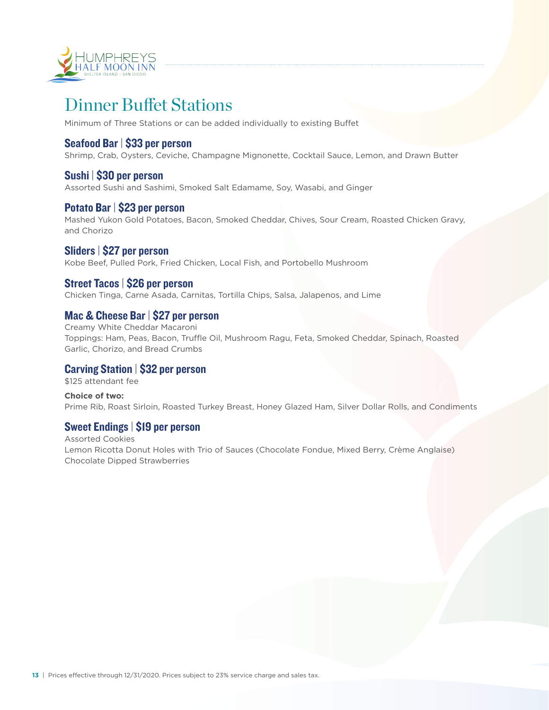

## Dinner Buffet Stations

Minimum of Three Stations or can be added individually to existing Buffet

## Seafood Bar | \$33 per person

Shrimp, Crab, Oysters, Ceviche, Champagne Mignonette, Cocktail Sauce, Lemon, and Drawn Butter

### Sushi | \$30 per person

Assorted Sushi and Sashimi, Smoked Salt Edamame, Soy, Wasabi, and Ginger

#### Potato Bar | \$23 per person

Mashed Yukon Gold Potatoes, Bacon, Smoked Cheddar, Chives, Sour Cream, Roasted Chicken Gravy, and Chorizo

#### Sliders | \$27 per person

Kobe Beef, Pulled Pork, Fried Chicken, Local Fish, and Portobello Mushroom

### Street Tacos | \$26 per person

Chicken Tinga, Carne Asada, Carnitas, Tortilla Chips, Salsa, Jalapenos, and Lime

## Mac & Cheese Bar | \$27 per person

Creamy White Cheddar Macaroni Toppings: Ham, Peas, Bacon, Truffle Oil, Mushroom Ragu, Feta, Smoked Cheddar, Spinach, Roasted Garlic, Chorizo, and Bread Crumbs

## Carving Station | \$32 per person

\$125 attendant fee

**Choice of two:** Prime Rib, Roast Sirloin, Roasted Turkey Breast, Honey Glazed Ham, Silver Dollar Rolls, and Condiments

## Sweet Endings | \$19 per person

Assorted Cookies Lemon Ricotta Donut Holes with Trio of Sauces (Chocolate Fondue, Mixed Berry, Crème Anglaise) Chocolate Dipped Strawberries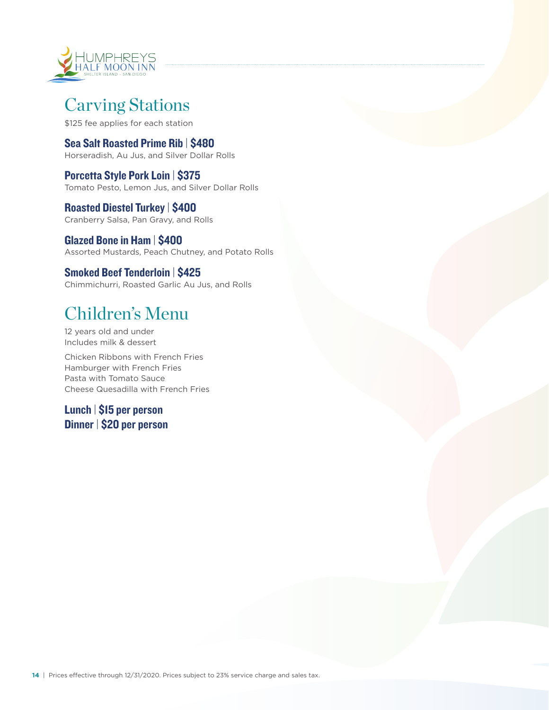

## Carving Stations

\$125 fee applies for each station

Sea Salt Roasted Prime Rib | \$480 Horseradish, Au Jus, and Silver Dollar Rolls

Porcetta Style Pork Loin | \$375 Tomato Pesto, Lemon Jus, and Silver Dollar Rolls

Roasted Diestel Turkey | \$400 Cranberry Salsa, Pan Gravy, and Rolls

Glazed Bone in Ham | \$400 Assorted Mustards, Peach Chutney, and Potato Rolls

## Smoked Beef Tenderloin | \$425

Chimmichurri, Roasted Garlic Au Jus, and Rolls

## Children's Menu

12 years old and under Includes milk & dessert

Chicken Ribbons with French Fries Hamburger with French Fries Pasta with Tomato Sauce Cheese Quesadilla with French Fries

Lunch | \$15 per person Dinner | \$20 per person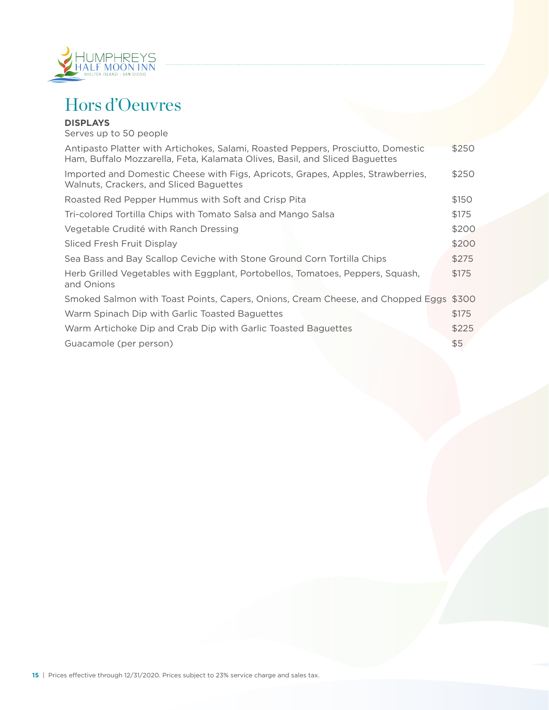

## Hors d'Oeuvres

#### **DISPLAYS**

Serves up to 50 people Antipasto Platter with Artichokes, Salami, Roasted Peppers, Prosciutto, Domestic \$250 Ham, Buffalo Mozzarella, Feta, Kalamata Olives, Basil, and Sliced Baguettes Imported and Domestic Cheese with Figs, Apricots, Grapes, Apples, Strawberries, \$250 Walnuts, Crackers, and Sliced Baguettes Roasted Red Pepper Hummus with Soft and Crisp Pita  $$150$ Tri-colored Tortilla Chips with Tomato Salsa and Mango Salsa \$175 Vegetable Crudité with Ranch Dressing **\$200 and the set of the set of the set of the set of the set of the set o** Sliced Fresh Fruit Display \$200 Sea Bass and Bay Scallop Ceviche with Stone Ground Corn Tortilla Chips  $$275$ Herb Grilled Vegetables with Eggplant, Portobellos, Tomatoes, Peppers, Squash, \$175 and Onions Smoked Salmon with Toast Points, Capers, Onions, Cream Cheese, and Chopped Eggs \$300 Warm Spinach Dip with Garlic Toasted Baguettes  $$175$ Warm Artichoke Dip and Crab Dip with Garlic Toasted Baguettes \$225 Guacamole (per person)  $$5$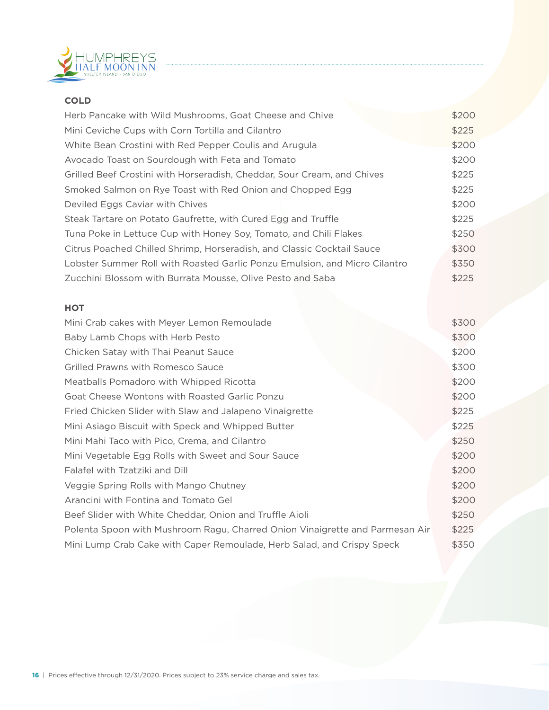

## **COLD**

| Herb Pancake with Wild Mushrooms, Goat Cheese and Chive                    | \$200 |
|----------------------------------------------------------------------------|-------|
| Mini Ceviche Cups with Corn Tortilla and Cilantro                          | \$225 |
| White Bean Crostini with Red Pepper Coulis and Arugula                     | \$200 |
| Avocado Toast on Sourdough with Feta and Tomato                            | \$200 |
| Grilled Beef Crostini with Horseradish, Cheddar, Sour Cream, and Chives    | \$225 |
| Smoked Salmon on Rye Toast with Red Onion and Chopped Egg                  | \$225 |
| Deviled Eggs Caviar with Chives                                            | \$200 |
| Steak Tartare on Potato Gaufrette, with Cured Egg and Truffle              | \$225 |
| Tuna Poke in Lettuce Cup with Honey Soy, Tomato, and Chili Flakes          | \$250 |
| Citrus Poached Chilled Shrimp, Horseradish, and Classic Cocktail Sauce     | \$300 |
| Lobster Summer Roll with Roasted Garlic Ponzu Emulsion, and Micro Cilantro | \$350 |
| Zucchini Blossom with Burrata Mousse, Olive Pesto and Saba                 | \$225 |
|                                                                            |       |

## **HOT**

| Mini Crab cakes with Meyer Lemon Remoulade                                   | \$300 |
|------------------------------------------------------------------------------|-------|
| Baby Lamb Chops with Herb Pesto                                              | \$300 |
| Chicken Satay with Thai Peanut Sauce                                         | \$200 |
| <b>Grilled Prawns with Romesco Sauce</b>                                     | \$300 |
| Meatballs Pomadoro with Whipped Ricotta                                      | \$200 |
| Goat Cheese Wontons with Roasted Garlic Ponzu                                | \$200 |
| Fried Chicken Slider with Slaw and Jalapeno Vinaigrette                      | \$225 |
| Mini Asiago Biscuit with Speck and Whipped Butter                            | \$225 |
| Mini Mahi Taco with Pico, Crema, and Cilantro                                | \$250 |
| Mini Vegetable Egg Rolls with Sweet and Sour Sauce                           | \$200 |
| Falafel with Tzatziki and Dill                                               | \$200 |
| Veggie Spring Rolls with Mango Chutney                                       | \$200 |
| Arancini with Fontina and Tomato Gel                                         | \$200 |
| Beef Slider with White Cheddar, Onion and Truffle Aioli                      | \$250 |
| Polenta Spoon with Mushroom Ragu, Charred Onion Vinaigrette and Parmesan Air | \$225 |
| Mini Lump Crab Cake with Caper Remoulade, Herb Salad, and Crispy Speck       | \$350 |
|                                                                              |       |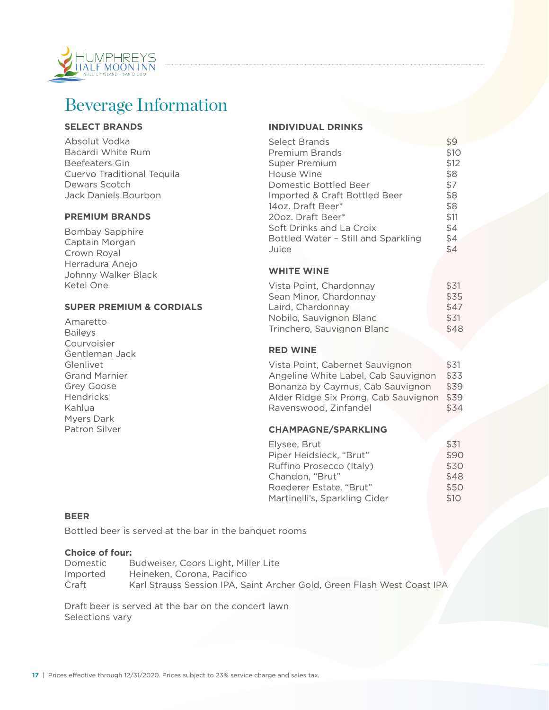

## Beverage Information

#### **SELECT BRANDS**

Absolut Vodka Bacardi White Rum Beefeaters Gin Cuervo Traditional Tequila Dewars Scotch Jack Daniels Bourbon

#### **PREMIUM BRANDS**

Bombay Sapphire Captain Morgan Crown Royal Herradura Anejo Johnny Walker Black Ketel One

#### **SUPER PREMIUM & CORDIALS**

Amaretto Baileys Courvoisier Gentleman Jack Glenlivet Grand Marnier Grey Goose **Hendricks** Kahlua Myers Dark Patron Silver

#### **INDIVIDUAL DRINKS**

| <b>Select Brands</b>                | \$9  |
|-------------------------------------|------|
| <b>Premium Brands</b>               | \$10 |
| Super Premium                       | \$12 |
| House Wine                          | \$8  |
| Domestic Bottled Beer               | \$7  |
| Imported & Craft Bottled Beer       | \$8  |
| 14oz. Draft Beer*                   | \$8  |
| 20oz. Draft Beer*                   | \$11 |
| Soft Drinks and La Croix            | \$4  |
| Bottled Water - Still and Sparkling | \$4  |
| Juice                               | \$4  |

### **WHITE WINE**

| Vista Point, Chardonnay    | \$31 |
|----------------------------|------|
| Sean Minor, Chardonnay     | \$35 |
| Laird, Chardonnav          | \$47 |
| Nobilo, Sauvignon Blanc    | \$31 |
| Trinchero, Sauvignon Blanc | \$48 |

#### **RED WINE**

Vista Point, Cabernet Sauvignon \$31 Angeline White Label, Cab Sauvignon \$33 Bonanza by Caymus, Cab Sauvignon \$39 Alder Ridge Six Prong, Cab Sauvignon \$39 Ravenswood, Zinfandel  $$34$ 

#### **CHAMPAGNE/SPARKLING**

| Elvsee. Brut                  | \$31 |
|-------------------------------|------|
| Piper Heidsieck, "Brut"       | \$90 |
| Ruffino Prosecco (Italy)      | \$30 |
| Chandon. "Brut"               | \$48 |
| Roederer Estate. "Brut"       | \$50 |
| Martinelli's, Sparkling Cider | \$10 |
|                               |      |

#### **BEER**

Bottled beer is served at the bar in the banquet rooms

#### **Choice of four:**

| Domestic | Budweiser, Coors Light, Miller Lite                                     |
|----------|-------------------------------------------------------------------------|
| Imported | Heineken, Corona, Pacifico                                              |
| Craft    | Karl Strauss Session IPA, Saint Archer Gold, Green Flash West Coast IPA |

Draft beer is served at the bar on the concert lawn Selections vary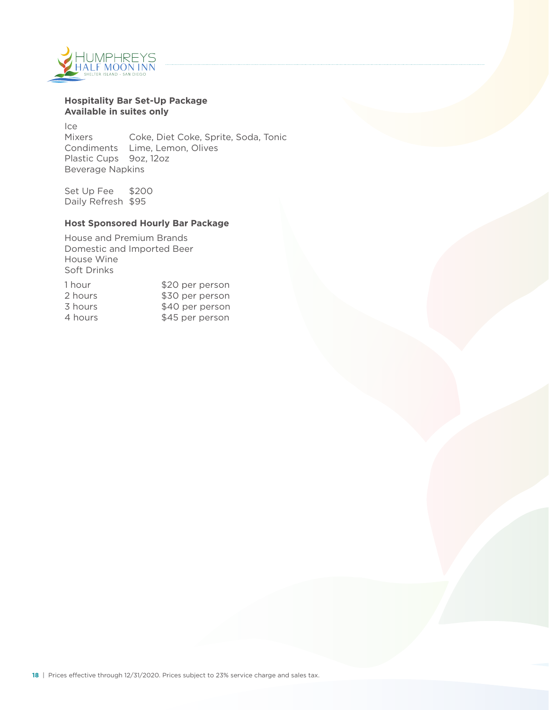

#### **Hospitality Bar Set-Up Package Available in suites only**

Ice Mixers Coke, Diet Coke, Sprite, Soda, Tonic Condiments Lime, Lemon, Olives Plastic Cups 9oz, 12oz Beverage Napkins

Set Up Fee \$200 Daily Refresh \$95

#### **Host Sponsored Hourly Bar Package**

House and Premium Brands Domestic and Imported Beer House Wine Soft Drinks

| 1 hour  | \$20 per person |
|---------|-----------------|
| 2 hours | \$30 per person |
| 3 hours | \$40 per person |
| 4 hours | \$45 per person |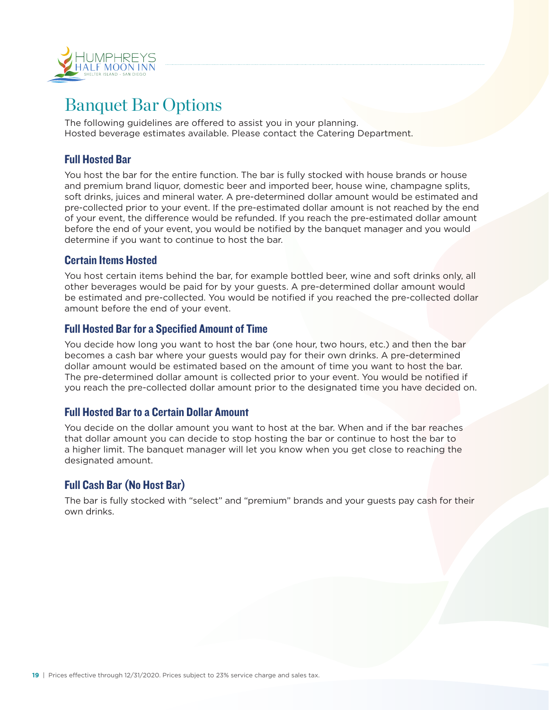

## Banquet Bar Options

The following guidelines are offered to assist you in your planning. Hosted beverage estimates available. Please contact the Catering Department.

## Full Hosted Bar

You host the bar for the entire function. The bar is fully stocked with house brands or house and premium brand liquor, domestic beer and imported beer, house wine, champagne splits, soft drinks, juices and mineral water. A pre-determined dollar amount would be estimated and pre-collected prior to your event. If the pre-estimated dollar amount is not reached by the end of your event, the difference would be refunded. If you reach the pre-estimated dollar amount before the end of your event, you would be notified by the banquet manager and you would determine if you want to continue to host the bar.

## Certain Items Hosted

You host certain items behind the bar, for example bottled beer, wine and soft drinks only, all other beverages would be paid for by your guests. A pre-determined dollar amount would be estimated and pre-collected. You would be notified if you reached the pre-collected dollar amount before the end of your event.

## Full Hosted Bar for a Specified Amount of Time

You decide how long you want to host the bar (one hour, two hours, etc.) and then the bar becomes a cash bar where your guests would pay for their own drinks. A pre-determined dollar amount would be estimated based on the amount of time you want to host the bar. The pre-determined dollar amount is collected prior to your event. You would be notified if you reach the pre-collected dollar amount prior to the designated time you have decided on.

## Full Hosted Bar to a Certain Dollar Amount

You decide on the dollar amount you want to host at the bar. When and if the bar reaches that dollar amount you can decide to stop hosting the bar or continue to host the bar to a higher limit. The banquet manager will let you know when you get close to reaching the designated amount.

## Full Cash Bar (No Host Bar)

The bar is fully stocked with "select" and "premium" brands and your guests pay cash for their own drinks.